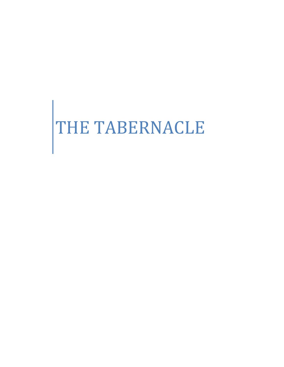# THE TABERNACLE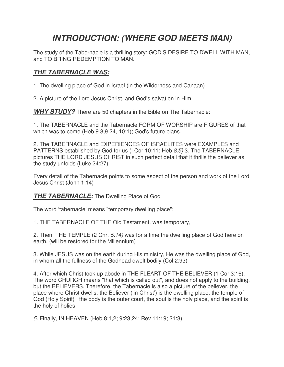# *INTRODUCTION: (WHERE GOD MEETS MAN)*

The study of the Tabernacle is a thrilling story: GOD'S DESIRE TO DWELL WITH MAN, and TO BRING REDEMPTION TO MAN.

## *THE TABERNACLE WAS:*

1. The dwelling place of God in Israel (in the Wilderness and Canaan)

2. A picture of the Lord Jesus Christ, and God's salvation in Him

*WHY STUDY?* There are 50 chapters in the Bible on The Tabernacle:

1. The TABERNACLE and the Tabernacle FORM OF WORSHIP are FIGURES of that which was to come (Heb 9 8,9,24, 10:1); God's future plans.

2. The TABERNACLE and EXPERIENCES OF ISRAELITES were EXAMPLES and PATTERNS established by God for us (I Cor 10:11; Heb *8:5)* 3. The TABERNACLE pictures THE LORD JESUS CHRIST in such perfect detail that it thrills the believer as the study unfolds (Luke 24:27)

Every detail of the Tabernacle points to some aspect of the person and work of the Lord Jesus Christ (John 1:14)

#### *THE TABERNACLE:* The Dwelling Place of God

The word 'tabernacle' means "temporary dwelling place":

1. THE TABERNACLE OF THE Old Testament. was temporary,

2. Then, THE TEMPLE (2 Chr. *5:14)* was for a time the dwelling place of God here on earth, (will be restored for the Millennium)

3. While JESUS was on the earth during His ministry, He was the dwelling place of God, in whom all the fullness of the Godhead dwelt bodily (Col 2:93)

4. After which Christ took up abode in THE FLEART OF THE BELIEVER (1 Cor 3:16). The word CHURCH means "that which is called out", and does not apply to the building, but the BELIEVERS. Therefore, the Tabernacle is also a picture of the believer, the place where Christ dwells. the Believer ('in Christ') is the dwelling place, the temple of God (Holy Spirit) ; the body is the outer court, the soul is the holy place, and the spirit is the holy of holies.

*5.* Finally, IN HEAVEN (Heb 8:1,2; 9:23,24; Rev 11:19; 21:3)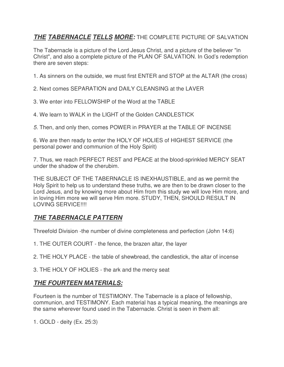## *THE TABERNACLE TELLS MORE:* THE COMPLETE PICTURE OF SALVATION

The Tabernacle is a picture of the Lord Jesus Christ, and a picture of the believer "in Christ", and also a complete picture of the PLAN OF SALVATION. In God's redemption there are seven steps:

1. As sinners on the outside, we must first ENTER and STOP at the ALTAR (the cross)

2. Next comes SEPARATION and DAILY CLEANSING at the LAVER

- 3. We enter into FELLOWSHIP of the Word at the TABLE
- 4. We learn to WALK in the LIGHT of the Golden CANDLESTICK

*5.* Then, and only then, comes POWER in PRAYER at the TABLE OF INCENSE

6. We are then ready to enter the HOLY OF HOLIES of HIGHEST SERVICE (the personal power and communion of the Holy Spirit)

7. Thus, we reach PERFECT REST and PEACE at the blood-sprinkled MERCY SEAT under the shadow of the cherubim.

THE SUBJECT OF THE TABERNACLE IS INEXHAUSTIBLE, and as we permit the Holy Spirit to help us to understand these truths, we are then to be drawn closer to the Lord Jesus, and by knowing more about Him from this study we will love Him more, and in loving Him more we will serve Him more. STUDY, THEN, SHOULD RESULT IN LOVING SERVICE!!!!

## *THE TABERNACLE PATTERN*

Threefold Division -the number of divine completeness and perfection (John 14:6)

- 1. THE OUTER COURT the fence, the brazen altar, the layer
- 2. THE HOLY PLACE the table of shewbread, the candlestick, the altar of incense
- 3. THE HOLY OF HOLIES the ark and the mercy seat

### *THE FOURTEEN MATERIALS:*

Fourteen is the number of TESTIMONY. The Tabernacle is a place of fellowship, communion, and TESTIMONY. Each material has a typical meaning, the meanings are the same wherever found used in the Tabernacle. Christ is seen in them all:

1. GOLD - deity (Ex. 25:3)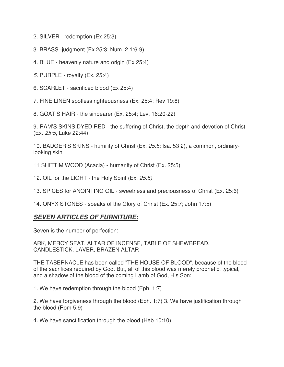2. SILVER - redemption (Ex 25:3)

- 3. BRASS -judgment (Ex 25:3; Num. 2 1:6-9)
- 4. BLUE heavenly nature and origin (Ex 25:4)
- *5.* PURPLE royalty (Ex. 25:4)
- 6. SCARLET sacrificed blood (Ex 25:4)
- 7. FINE LINEN spotless righteousness (Ex. 25:4; Rev 19:8)

8. GOAT'S HAIR - the sinbearer (Ex. 25:4; Lev. 16:20-22)

9. RAM'S SKINS DYED RED - the suffering of Christ, the depth and devotion of Christ (Ex. *25:5;* Luke 22:44)

10. BADGER'S SKINS - humility of Christ (Ex. *25:5;* Isa. 53:2), a common, ordinarylooking skin

11 SHITTIM WOOD (Acacia) - humanity of Christ (Ex. 25:5)

12. OIL for the LIGHT - the Holy Spirit (Ex. *25:5)*

13. SPICES for ANOINTING OIL - sweetness and preciousness of Christ (Ex. 25:6)

14. ONYX STONES - speaks of the Glory of Christ (Ex. 25:7; John 17:5)

## *SEVEN ARTICLES OF FURNITURE:*

Seven is the number of perfection:

ARK, MERCY SEAT, ALTAR OF INCENSE, TABLE OF SHEWBREAD, CANDLESTICK, LAVER, BRAZEN ALTAR

THE TABERNACLE has been called "THE HOUSE OF BLOOD", because of the blood of the sacrifices required by God. But, all of this blood was merely prophetic, typical, and a shadow of the blood of the coming Lamb of God, His Son:

1. We have redemption through the blood (Eph. 1:7)

2. We have forgiveness through the blood (Eph. 1:7) 3. We have justification through the blood (Rom 5.9)

4. We have sanctification through the blood (Heb 10:10)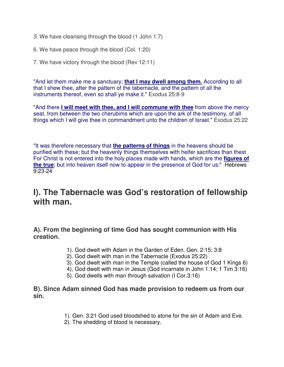- *5.* We have cleansing through the blood (1 John 1:7)
- 6. We have peace through the blood (Col. 1:20)
- 7. We have victory through the blood (Rev 12:11)

"And let them make me a sanctuary; **that I may dwell among them.** According to all that I shew thee, after the pattern of the tabernacle, and the pattern of all the instruments thereof, even so shall ye make it." Exodus 25:8-9

"And there **I will meet with thee, and I will commune with thee** from above the mercy seat, from between the two cherubims which are upon the ark of the testimony, of all things which I will give thee in commandment unto the children of Israel." Exodus 25:22

"It was therefore necessary that **the patterns of things** in the heavens should be purified with these; but the heavenly things themselves with heifer sacrifices than thest For Christ is not entered into the holy places made with hands, which are the **figures of the true**; but into heaven itself now to appear in the presence of God for us:" Hebrews 9:23-24

# **I). The Tabernacle was God's restoration of fellowship with man.**

**A). From the beginning of time God has sought communion with His creation.**

- 1). God dwelt with Adam in the Garden of Eden. Gen. 2:15; 3:8
- 2). God dwelt with man in the Tabernacle (Exodus 25:22)
- 3). God dwelt with man in the Temple (called the house of God 1 Kings 6)
- 4), God dwelt with man in Jesus (God incarnate in John 1:14; 1 Tim 3:16)
- 5). God dwells with man through salvation (I Cor.3:16)

#### **B). Since Adam sinned God has made provision to redeem us from our sin.**

- 1). Gen. 3:21 God used bloodshed to atone for the sin of Adam and Eve.
- 2). The shedding of blood is necessary.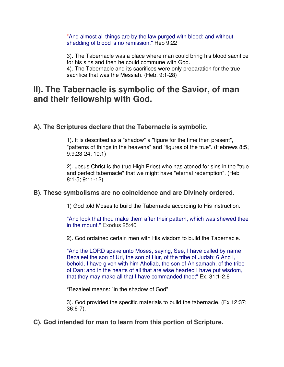"And almost all things are by the law purged with blood; and without shedding of blood is no remission." Heb 9:22

3). The Tabernacle was a place where man could bring his blood sacrifice for his sins and then he could commune with God. 4). The Tabernacle and its sacrifices were only preparation for the true sacrifice that was the Messiah. (Heb. 9:1-28)

## **II). The Tabernacle is symbolic of the Savior, of man and their fellowship with God.**

#### **A). The Scriptures declare that the Tabernacle is symbolic.**

1). It is described as a "shadow" a "figure for the time then present", "patterns of things in the heavens" and "figures of the true". (Hebrews 8:5; 9:9,23-24; 10:1)

2). Jesus Christ is the true High Priest who has atoned for sins in the "true and perfect tabernacle" that we might have "eternal redemption". (Heb 8:1-5; 9:11-12)

#### **B). These symbolisms are no coincidence and are Divinely ordered.**

1) God told Moses to build the Tabernacle according to His instruction.

"And look that thou make them after their pattern, which was shewed thee in the mount." Exodus 25:40

2). God ordained certain men with His wisdom to build the Tabernacle.

"And the LORD spake unto Moses, saying, See, I have called by name Bezaleel the son of Uri, the son of Hur, of the tribe of Judah: 6 And I, behold, I have given with him Aholiab, the son of Ahisamach, of the tribe of Dan: and in the hearts of all that are wise hearted I have put wisdom, that they may make all that I have commanded thee;" Ex. 31:1-2,6

\*Bezaleel means: "in the shadow of God"

3). God provided the specific materials to build the tabernacle. (Ex 12:37; 36:6-7).

**C). God intended for man to learn from this portion of Scripture.**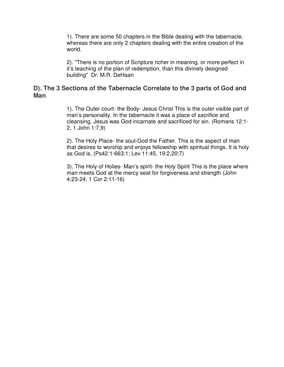1). There are some 50 chapters in the Bible dealing with the tabernacle, whereas there are only 2 chapters dealing with the entire creation of the world.

2). "There is no portion of Scripture richer in meaning, or more perfect in it's teaching of the plan of redemption, than this divinely designed building" Dr. M.R. DeHaan

#### **D). The 3 Sections of the Tabernacle Correlate to the 3 parts of God and Man**

1). The Outer court- the Body- Jesus Christ This is the outer visible part of man's personality. In the tabernacle it was a place of sacrifice and cleansing. Jesus was God incarnate and sacrificed for sin. (Romans 12:1- 2, 1 John 1:7,9)

2). The Holy Place- the soul-God the Father. This is the aspect of man that desires to worship and enjoys fellowship with spiritual things. It is holy as God is, (Ps42:1-663:1; Lev 11:45, 19:2,20:7)

3). The Holy of Holies- Man's spirit- the Holy Spirit This is the place where man meets God at the mercy seat for forgiveness and strength (John 4:23-24; 1 Cor 2:11-16)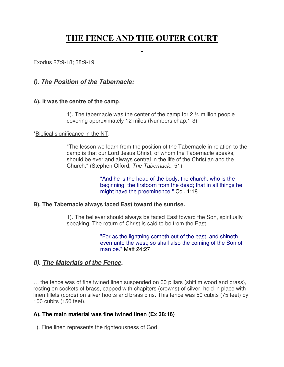# **THE FENCE AND THE OUTER COURT**

 $\overline{a}$ 

Exodus 27:9-18; 38:9-19

#### *I). The Position of the Tabernacle:*

#### **A). It was the centre of the camp**.

1). The tabernacle was the center of the camp for  $2\frac{1}{2}$  million people covering approximately 12 miles (Numbers chap.1-3)

#### \*Biblical significance in the NT:

"The lesson we learn from the position of the Tabernacle in relation to the camp is that our Lord Jesus Christ, of whom the Tabernacle speaks, should be ever and always central in the life of the Christian and the Church." (Stephen Olford, *The Tabernacle*, 51)

> "And he is the head of the body, the church: who is the beginning, the firstborn from the dead; that in all things he might have the preeminence." Col. 1:18

#### **B). The Tabernacle always faced East toward the sunrise.**

1). The believer should always be faced East toward the Son, spiritually speaking. The return of Christ is said to be from the East.

> "For as the lightning cometh out of the east, and shineth even unto the west; so shall also the coming of the Son of man be." Matt 24:27

#### *II). The Materials of the Fence.*

… the fence was of fine twined linen suspended on 60 pillars (shittim wood and brass), resting on sockets of brass, capped with chapiters (crowns) of silver, held in place with linen fillets (cords) on silver hooks and brass pins. This fence was 50 cubits (75 feet) by 100 cubits (150 feet).

#### **A). The main material was fine twined linen (Ex 38:16)**

1). Fine linen represents the righteousness of God.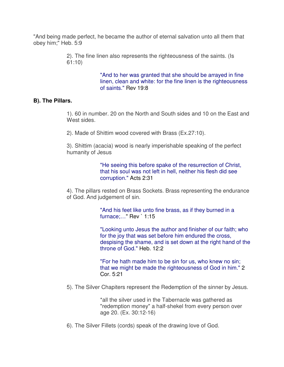"And being made perfect, he became the author of eternal salvation unto all them that obey him;" Heb. 5:9

> 2). The fine linen also represents the righteousness of the saints. (Is 61:10)

> > "And to her was granted that she should be arrayed in fine linen, clean and white: for the fine linen is the righteousness of saints." Rev 19:8

#### **B). The Pillars.**

1). 60 in number. 20 on the North and South sides and 10 on the East and West sides.

2). Made of Shittim wood covered with Brass (Ex.27:10).

3). Shittim (acacia) wood is nearly imperishable speaking of the perfect humanity of Jesus

> "He seeing this before spake of the resurrection of Christ, that his soul was not left in hell, neither his flesh did see corruption." Acts 2:31

4). The pillars rested on Brass Sockets. Brass representing the endurance of God. And judgement of sin.

> "And his feet like unto fine brass, as if they burned in a furnace;…" Rev ` 1:15

"Looking unto Jesus the author and finisher of our faith; who for the joy that was set before him endured the cross, despising the shame, and is set down at the right hand of the throne of God." Heb. 12:2

"For he hath made him to be sin for us, who knew no sin; that we might be made the righteousness of God in him." 2 Cor. 5:21

5). The Silver Chapiters represent the Redemption of the sinner by Jesus.

\*all the silver used in the Tabernacle was gathered as "redemption money" a half-shekel from every person over age 20. (Ex. 30:12-16)

6). The Silver Fillets (cords) speak of the drawing love of God.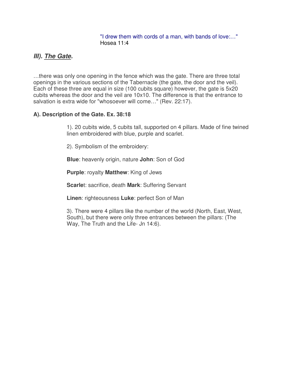"I drew them with cords of a man, with bands of love:…" Hosea 11:4

## *III). The Gate.*

…there was only one opening in the fence which was the gate. There are three total openings in the various sections of the Tabernacle (the gate, the door and the veil). Each of these three are equal in size (100 cubits square) however, the gate is 5x20 cubits whereas the door and the veil are 10x10. The difference is that the entrance to salvation is extra wide for "whosoever will come…" (Rev. 22:17).

#### **A). Description of the Gate. Ex. 38:18**

1). 20 cubits wide, 5 cubits tall, supported on 4 pillars. Made of fine twined linen embroidered with blue, purple and scarlet.

2). Symbolism of the embroidery:

**Blue**: heavenly origin, nature **John**: Son of God

**Purple**: royalty **Matthew**: King of Jews

**Scarle**t: sacrifice, death **Mark**: Suffering Servant

**Linen**: righteousness **Luke**: perfect Son of Man

3). There were 4 pillars like the number of the world (North, East, West, South), but there were only three entrances between the pillars: (The Way, The Truth and the Life- Jn 14:6).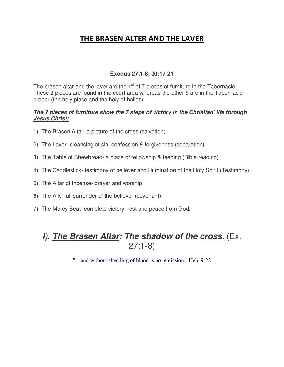## **THE BRASEN ALTER AND THE LAVER**

#### **Exodus 27:1-8; 30:17-21**

The brasen altar and the laver are the  $1<sup>st</sup>$  of 7 pieces of furniture in the Tabernacle. These 2 pieces are found in the court area whereas the other 5 are in the Tabernacle proper (the holy place and the holy of holies).

#### *The 7 pieces of furniture show the 7 steps of victory in the Christian' life through Jesus Christ:*

- 1). The Brasen Altar- a picture of the cross (salvation)
- 2). The Laver- cleansing of sin, confession & forgiveness (separation)
- 3). The Table of Shewbread- a place of fellowship & feeding (Bible reading)
- 4). The Candlestick- testimony of believer and illumination of the Holy Spirit (Testimony)
- 5). The Altar of Incense- prayer and worship
- 6). The Ark- full surrender of the believer (covenant)
- 7). The Mercy Seat- complete victory, rest and peace from God.

# *I). The Brasen Altar: The shadow of the cross.* (Ex. 27:1-8)

"…and without shedding of blood is no remission." Heb. 9:22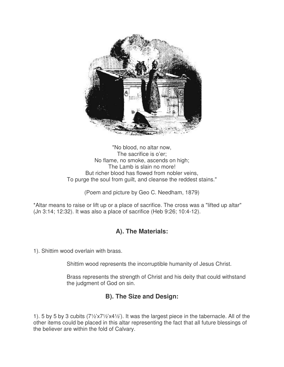

"No blood, no altar now, The sacrifice is o'er; No flame, no smoke, ascends on high; The Lamb is slain no more! But richer blood has flowed from nobler veins, To purge the soul from guilt, and cleanse the reddest stains."

(Poem and picture by Geo C. Needham, 1879)

\*Altar means to raise or lift up or a place of sacrifice. The cross was a "lifted up altar" (Jn 3:14; 12:32). It was also a place of sacrifice (Heb 9:26; 10:4-12).

## **A). The Materials:**

1). Shittim wood overlain with brass.

Shittim wood represents the incorruptible humanity of Jesus Christ.

Brass represents the strength of Christ and his deity that could withstand the judgment of God on sin.

## **B). The Size and Design:**

1). 5 by 5 by 3 cubits (7½'x7½'x4½'). It was the largest piece in the tabernacle. All of the other items could be placed in this altar representing the fact that all future blessings of the believer are within the fold of Calvary.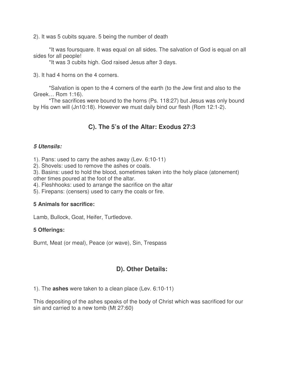2). It was 5 cubits square. 5 being the number of death

 \*It was foursquare. It was equal on all sides. The salvation of God is equal on all sides for all people!

\*It was 3 cubits high. God raised Jesus after 3 days.

3). It had 4 horns on the 4 corners.

 \*Salvation is open to the 4 corners of the earth (to the Jew first and also to the Greek… Rom 1:16).

 \*The sacrifices were bound to the horns (Ps. 118:27) but Jesus was only bound by His own will (Jn10:18). However we must daily bind our flesh (Rom 12:1-2).

### **C). The 5's of the Altar: Exodus 27:3**

#### *5 Utensils:*

1). Pans: used to carry the ashes away (Lev. 6:10-11)

2). Shovels: used to remove the ashes or coals.

3). Basins: used to hold the blood, sometimes taken into the holy place (atonement) other times poured at the foot of the altar.

4). Fleshhooks: used to arrange the sacrifice on the altar

5). Firepans: (censers) used to carry the coals or fire.

#### **5 Animals for sacrifice:**

Lamb, Bullock, Goat, Heifer, Turtledove.

#### **5 Offerings:**

Burnt, Meat (or meal), Peace (or wave), Sin, Trespass

### **D). Other Details:**

1). The **ashes** were taken to a clean place (Lev. 6:10-11)

This depositing of the ashes speaks of the body of Christ which was sacrificed for our sin and carried to a new tomb (Mt 27:60)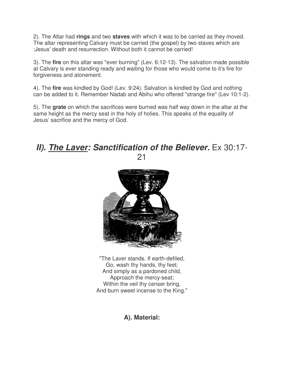2). The Altar had **rings** and two **staves** with which it was to be carried as they moved. The altar representing Calvary must be carried (the gospel) by two staves which are :Jesus' death and resurrection. Without both it cannot be carried!

3). The **fire** on this altar was "ever burning" (Lev. 6:12-13). The salvation made possible at Calvary is ever standing ready and waiting for those who would come to it's fire for forgiveness and atonement.

4). The **fire** was kindled by God! (Lev. 9:24). Salvation is kindled by God and nothing can be added to it. Remember Nadab and Abihu who offered "strange fire" (Lev 10:1-2).

5). The **grate** on which the sacrifices were burned was half way down in the altar at the same height as the mercy seat in the holy of holies. This speaks of the equality of Jesus' sacrifice and the mercy of God.

## *II). The Laver: Sanctification of the Believer.* Ex 30:17- 21



"The Laver stands. If earth-defiled, Go, wash thy hands, thy feet; And simply as a pardoned child, Approach the mercy-seat; Within the veil thy censer bring, And burn sweet incense to the King."

**A). Material:**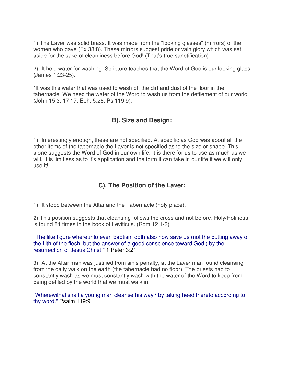1) The Laver was solid brass. It was made from the "looking glasses" (mirrors) of the women who gave (Ex 38:8). These mirrors suggest pride or vain glory which was set aside for the sake of cleanliness before God! (That's true sanctification).

2). It held water for washing. Scripture teaches that the Word of God is our looking glass (James 1:23-25).

\*It was this water that was used to wash off the dirt and dust of the floor in the tabernacle. We need the water of the Word to wash us from the defilement of our world. (John 15:3; 17:17; Eph. 5:26; Ps 119:9).

#### **B). Size and Design:**

1). Interestingly enough, these are not specified. At specific as God was about all the other items of the tabernacle the Laver is not specified as to the size or shape. This alone suggests the Word of God in our own life. It is there for us to use as much as we will. It is limitless as to it's application and the form it can take in our life if we will only use it!

## **C). The Position of the Laver:**

1). It stood between the Altar and the Tabernacle (holy place).

2) This position suggests that cleansing follows the cross and not before. Holy/Holiness is found 84 times in the book of Leviticus. (Rom 12;1-2)

"The like figure whereunto even baptism doth also now save us (not the putting away of the filth of the flesh, but the answer of a good conscience toward God,) by the resurrection of Jesus Christ:" 1 Peter 3:21

3). At the Altar man was justified from sin's penalty, at the Laver man found cleansing from the daily walk on the earth (the tabernacle had no floor). The priests had to constantly wash as we must constantly wash with the water of the Word to keep from being defiled by the world that we must walk in.

"Wherewithal shall a young man cleanse his way? by taking heed thereto according to thy word." Psalm 119:9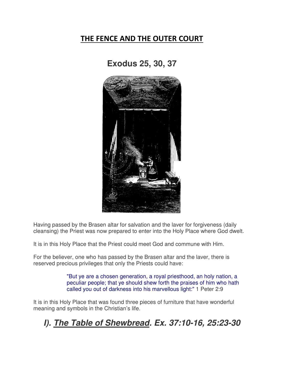## **THE FENCE AND THE OUTER COURT**

# **Exodus 25, 30, 37**



Having passed by the Brasen altar for salvation and the laver for forgiveness (daily cleansing) the Priest was now prepared to enter into the Holy Place where God dwelt.

It is in this Holy Place that the Priest could meet God and commune with Him.

For the believer, one who has passed by the Brasen altar and the laver, there is reserved precious privileges that only the Priests could have:

> "But ye are a chosen generation, a royal priesthood, an holy nation, a peculiar people; that ye should shew forth the praises of him who hath called you out of darkness into his marvellous light:" 1 Peter 2:9

It is in this Holy Place that was found three pieces of furniture that have wonderful meaning and symbols in the Christian's life.

# *I). The Table of Shewbread. Ex. 37:10-16, 25:23-30*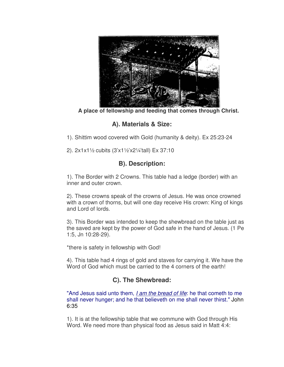

**A place of fellowship and feeding that comes through Christ.**

**A). Materials & Size:**

1). Shittim wood covered with Gold (humanity & deity). Ex 25:23-24

2). 2x1x1½ cubits (3'x1½'x2¼'tall) Ex 37:10

## **B). Description:**

1). The Border with 2 Crowns. This table had a ledge (border) with an inner and outer crown.

2). These crowns speak of the crowns of Jesus. He was once crowned with a crown of thorns, but will one day receive His crown: King of kings and Lord of lords.

3). This Border was intended to keep the shewbread on the table just as the saved are kept by the power of God safe in the hand of Jesus. (1 Pe 1:5, Jn 10:28-29).

\*there is safety in fellowship with God!

4). This table had 4 rings of gold and staves for carrying it. We have the Word of God which must be carried to the 4 corners of the earth!

## **C). The Shewbread:**

"And Jesus said unto them, *I am the bread of life*: he that cometh to me shall never hunger; and he that believeth on me shall never thirst." John 6:35

1). It is at the fellowship table that we commune with God through His Word. We need more than physical food as Jesus said in Matt 4:4: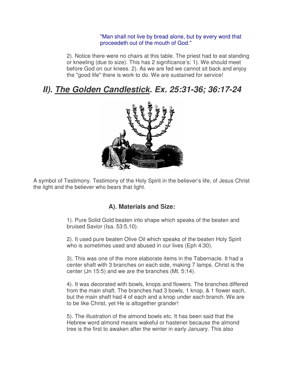#### "Man shall not live by bread alone, but by every word that proceedeth out of the mouth of God."

2). Notice there were no chairs at this table. The priest had to eat standing or kneeling (due to size). This has 2 significance's: 1). We should meet before God on our knees. 2). As we are fed we cannot sit back and enjoy the "good life" there is work to do. We are sustained for service!

# *II). The Golden Candlestick. Ex. 25:31-36; 36:17-24*



A symbol of Testimony. Testimony of the Holy Spirit in the believer's life, of Jesus Christ the light and the believer who bears that light.

### **A). Materials and Size:**

1). Pure Solid Gold beaten into shape which speaks of the beaten and bruised Savior (Isa. 53:5,10).

2). It used pure beaten Olive Oil which speaks of the beaten Holy Spirit who is sometimes used and abused in our lives (Eph 4:30).

3). This was one of the more elaborate items in the Tabernacle. It had a center shaft with 3 branches on each side, making 7 lamps. Christ is the center (Jn 15:5) and we are the branches (Mt. 5:14).

4). It was decorated with bowls, knops and flowers. The branches differed from the main shaft. The branches had 3 bowls, 1 knop, & 1 flower each, but the main shaft had 4 of each and a knop under each branch. We are to be like Christ, yet He is altogether grander!

5). The illustration of the almond bowls etc. It has been said that the Hebrew word almond means wakeful or hastener because the almond tree is the first to awaken after the winter in early January. This also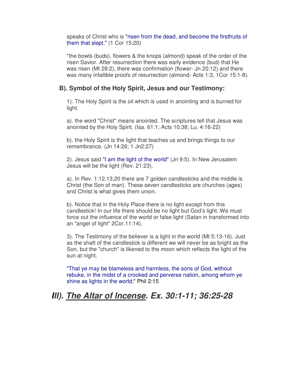speaks of Christ who is "risen from the dead, and become the firstfruits of them that slept." (1 Cor 15:20)

\*the bowls (buds), flowers & the knops (almond) speak of the order of the risen Savior. After resurrection there was early evidence (bud) that He was risen (Mt 28:2), there was confirmation (flower- Jn 20:12) and there was many infallible proofs of resurrection (almond- Acts 1:3, 1Cor 15:1-8).

### **B). Symbol of the Holy Spirit, Jesus and our Testimony:**

1). The Holy Spirit is the oil which is used in anointing and is burned for light.

a). the word "Christ" means anointed. The scriptures tell that Jesus was anointed by the Holy Spirit. (Isa. 61:1; Acts 10:38; Lu. 4:16-22)

b). the Holy Spirit is the light that teaches us and brings things to our remembrance. (Jn 14:26; 1 Jn2:27)

2). Jesus said "I am the light of the world" (Jn 9:5). In New Jerusalem Jesus will be the light (Rev. 21:23).

a). In Rev. 1:12,13,20 there are 7 golden candlesticks and the middle is Christ (the Son of man). These seven candlesticks are churches (ages) and Christ is what gives them union.

b). Notice that in the Holy Place there is no light except from this candlestick! In our life there should be no light but God's light. We must force out the influence of the world or false light (Satan in transformed into an "angel of light" 2Cor.11:14).

3). The Testimony of the believer is a light in the world (Mt 5:13-16). Just as the shaft of the candlestick is different we will never be as bright as the Son, but the "church" is likened to the moon which reflects the light of the sun at night.

"That ye may be blameless and harmless, the sons of God, without rebuke, in the midst of a crooked and perverse nation, among whom ye shine as lights in the world;" Phil 2:15

# *III). The Altar of Incense. Ex. 30:1-11; 36:25-28*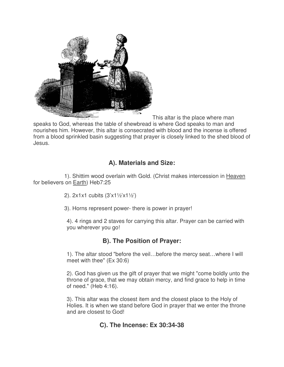

This altar is the place where man

speaks to God, whereas the table of shewbread is where God speaks to man and nourishes him. However, this altar is consecrated with blood and the incense is offered from a blood sprinkled basin suggesting that prayer is closely linked to the shed blood of Jesus.

## **A). Materials and Size:**

 1). Shittim wood overlain with Gold. (Christ makes intercession in Heaven for believers on Earth) Heb7:25

- 2). 2x1x1 cubits (3'x1½'x1½')
- 3). Horns represent power- there is power in prayer!

4). 4 rings and 2 staves for carrying this altar. Prayer can be carried with you wherever you go!

## **B). The Position of Prayer:**

1). The altar stood "before the veil…before the mercy seat…where I will meet with thee" (Ex 30:6)

2). God has given us the gift of prayer that we might "come boldly unto the throne of grace, that we may obtain mercy, and find grace to help in time of need." (Heb 4:16).

3). This altar was the closest item and the closest place to the Holy of Holies. It is when we stand before God in prayer that we enter the throne and are closest to God!

### **C). The Incense: Ex 30:34-38**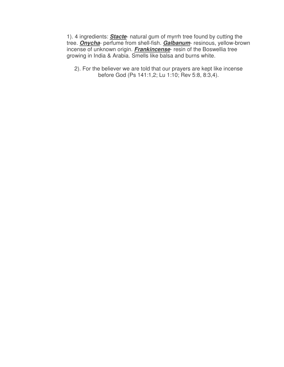1). 4 ingredients: *Stacte*- natural gum of myrrh tree found by cutting the tree. *Onycha*- perfume from shell-fish. *Galbanum*- resinous, yellow-brown incense of unknown origin. *Frankincense*- resin of the Boswellia tree growing in India & Arabia. Smells like balsa and burns white.

2). For the believer we are told that our prayers are kept like incense before God (Ps 141:1,2; Lu 1:10; Rev 5:8, 8:3,4).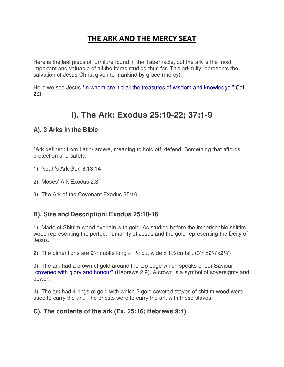## **THE ARK AND THE MERCY SEAT**

Here is the last piece of furniture found in the Tabernacle, but the ark is the most important and valuable of all the items studied thus far. This ark fully represents the salvation of Jesus Christ given to mankind by grace (mercy).

Here we see Jesus "In whom are hid all the treasures of wisdom and knowledge." Col 2:3

# **I). The Ark: Exodus 25:10-22; 37:1-9**

### **A). 3 Arks in the Bible**

\*Ark defined: from Latin- arcere, meaning to hold off, defend. Something that affords protection and safety.

- 1). Noah's Ark Gen 6:13,14
- 2). Moses' Ark Exodus 2:3
- 3). The Ark of the Covenant Exodus 25:10

#### **B). Size and Description: Exodus 25:10-16**

1). Made of Shittim wood overlain with gold. As studied before the imperishable shittim wood representing the perfect humanity of Jesus and the gold representing the Deity of Jesus.

2). The dimentions are 2½ cubits long x 1½ cu. wide x 1½ cu tall.  $(3\frac{3}{4}x^{2}/\frac{4}{4}x^{2})$ 

3). The ark had a crown of gold around the top edge which speaks of our Saviour "crowned with glory and honour" (Hebrews 2:9). A crown is a symbol of sovereignty and power.

4). The ark had 4 rings of gold with which 2 gold covered staves of shittim wood were used to carry the ark. The priests were to carry the ark with these staves.

### **C). The contents of the ark (Ex. 25:16; Hebrews 9:4)**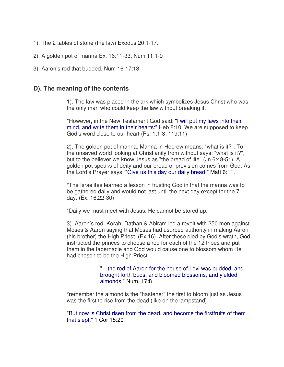- 1). The 2 tables of stone (the law) Exodus 20:1-17.
- 2). A golden pot of manna Ex. 16:11-33, Num 11:1-9
- 3). Aaron's rod that budded. Num 16-17:13.

#### **D). The meaning of the contents**

1). The law was placed in the ark which symbolizes Jesus Christ who was the only man who could keep the law without breaking it.

\*However, in the New Testament God said: "I will put my laws into their mind, and write them in their hearts:" Heb 8:10. We are supposed to keep God's word close to our heart (Ps. 1:1-3; 119:11)

2). The golden pot of manna. Manna in Hebrew means: "what is it?". To the unsaved world looking at Christianity from without says: "what is it?", but to the believer we know Jesus as "the bread of life" (Jn 6:48-51). A golden pot speaks of deity and our bread or provision comes from God. As the Lord's Prayer says: "Give us this day our daily bread." Matt 6:11.

\*The Israelites learned a lesson in trusting God in that the manna was to be gathered daily and would not last until the next day except for the  $7<sup>th</sup>$ day. (Ex. 16:22-30)

\*Daily we must meet with Jesus. He cannot be stored up.

3). Aaron's rod. Korah, Dathan & Abiram led a revolt with 250 men against Moses & Aaron saying that Moses had usurped authority in making Aaron (his brother) the High Priest. (Ex 16). After these died by God's wrath, God instructed the princes to choose a rod for each of the 12 tribes and put them in the tabernacle and God would cause one to blossom whom He had chosen to be the High Priest.

> "…the rod of Aaron for the house of Levi was budded, and brought forth buds, and bloomed blossoms, and yielded almonds." Num. 17:8

\*remember the almond is the "hastener" the first to bloom just as Jesus was the first to rise from the dead (like on the lampstand).

"But now is Christ risen from the dead, and become the firstfruits of them that slept." 1 Cor 15:20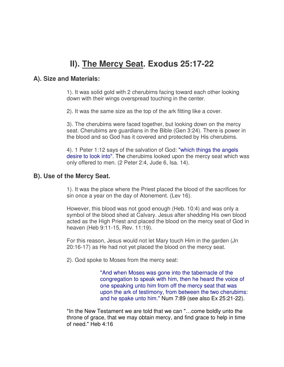# **II). The Mercy Seat. Exodus 25:17-22**

#### **A). Size and Materials:**

1). It was solid gold with 2 cherubims facing toward each other looking down with their wings overspread touching in the center.

2). It was the same size as the top of the ark fitting like a cover.

3). The cherubims were faced together, but looking down on the mercy seat. Cherubims are guardians in the Bible (Gen 3:24). There is power in the blood and so God has it covered and protected by His cherubims.

4). 1 Peter 1:12 says of the salvation of God: "which things the angels desire to look into". The cherubims looked upon the mercy seat which was only offered to men. (2 Peter 2:4, Jude 6, Isa. 14).

#### **B). Use of the Mercy Seat.**

1). It was the place where the Priest placed the blood of the sacrifices for sin once a year on the day of Atonement. (Lev 16).

However, this blood was not good enough (Heb. 10:4) and was only a symbol of the blood shed at Calvary. Jesus after shedding His own blood acted as the High Priest and placed the blood on the mercy seat of God in heaven (Heb 9:11-15, Rev. 11:19).

For this reason, Jesus would not let Mary touch Him in the garden (Jn 20:16-17) as He had not yet placed the blood on the mercy seat.

2). God spoke to Moses from the mercy seat:

"And when Moses was gone into the tabernacle of the congregation to speak with him, then he heard the voice of one speaking unto him from off the mercy seat that was upon the ark of testimony, from between the two cherubims: and he spake unto him." Num 7:89 (see also Ex 25:21-22).

\*In the New Testament we are told that we can "…come boldly unto the throne of grace, that we may obtain mercy, and find grace to help in time of need." Heb 4:16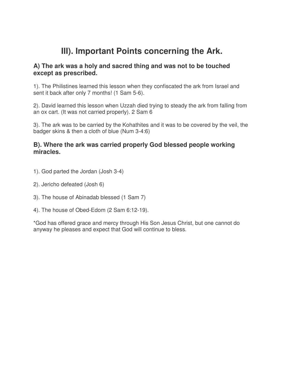# **III). Important Points concerning the Ark.**

#### **A) The ark was a holy and sacred thing and was not to be touched except as prescribed.**

1). The Philistines learned this lesson when they confiscated the ark from Israel and sent it back after only 7 months! (1 Sam 5-6).

2). David learned this lesson when Uzzah died trying to steady the ark from falling from an ox cart. (It was not carried properly). 2 Sam 6

3). The ark was to be carried by the Kohathites and it was to be covered by the veil, the badger skins & then a cloth of blue (Num 3-4:6)

#### **B). Where the ark was carried properly God blessed people working miracles.**

- 1). God parted the Jordan (Josh 3-4)
- 2). Jericho defeated (Josh 6)
- 3). The house of Abinadab blessed (1 Sam 7)
- 4). The house of Obed-Edom (2 Sam 6:12-19).

\*God has offered grace and mercy through His Son Jesus Christ, but one cannot do anyway he pleases and expect that God will continue to bless.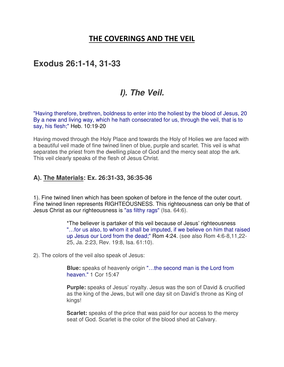## **THE COVERINGS AND THE VEIL**

## **Exodus 26:1-14, 31-33**

# *I). The Veil.*

"Having therefore, brethren, boldness to enter into the holiest by the blood of Jesus, 20 By a new and living way, which he hath consecrated for us, through the veil, that is to say, his flesh;" Heb. 10:19-20

Having moved through the Holy Place and towards the Holy of Holies we are faced with a beautiful veil made of fine twined linen of blue, purple and scarlet. This veil is what separates the priest from the dwelling place of God and the mercy seat atop the ark. This veil clearly speaks of the flesh of Jesus Christ.

#### **A). The Materials: Ex. 26:31-33, 36:35-36**

1). Fine twined linen which has been spoken of before in the fence of the outer court. Fine twined linen represents RIGHTEOUSNESS. This righteousness can only be that of Jesus Christ as our righteousness is "as filthy rags" (Isa. 64:6).

> \*The believer is partaker of this veil because of Jesus' righteousness "…for us also, to whom it shall be imputed, if we believe on him that raised up Jesus our Lord from the dead;" Rom 4:24. (see also Rom 4:6-8,11,22- 25, Ja. 2:23, Rev. 19:8, Isa. 61:10).

2). The colors of the veil also speak of Jesus:

**Blue:** speaks of heavenly origin "…the second man is the Lord from heaven." 1 Cor 15:47

**Purple:** speaks of Jesus' royalty. Jesus was the son of David & crucified as the king of the Jews, but will one day sit on David's throne as King of kings!

**Scarlet:** speaks of the price that was paid for our access to the mercy seat of God. Scarlet is the color of the blood shed at Calvary.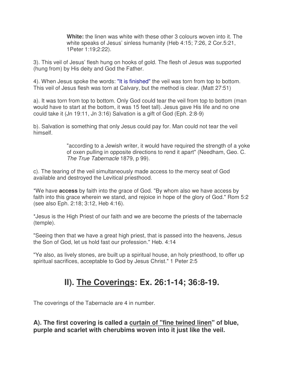**White:** the linen was white with these other 3 colours woven into it. The white speaks of Jesus' sinless humanity (Heb 4:15; 7:26, 2 Cor.5:21, 1Peter 1:19;2:22).

3). This veil of Jesus' flesh hung on hooks of gold. The flesh of Jesus was supported (hung from) by His deity and God the Father.

4). When Jesus spoke the words: "It is finished" the veil was torn from top to bottom. This veil of Jesus flesh was torn at Calvary, but the method is clear. (Matt 27:51)

a). It was torn from top to bottom. Only God could tear the veil from top to bottom (man would have to start at the bottom, it was 15 feet tall). Jesus gave His life and no one could take it (Jn 19:11, Jn 3:16) Salvation is a gift of God (Eph. 2:8-9)

b). Salvation is something that only Jesus could pay for. Man could not tear the veil himself.

> "according to a Jewish writer, it would have required the strength of a yoke of oxen pulling in opposite directions to rend it apart" (Needham, Geo. C. *The True Tabernacle* 1879, p 99).

c). The tearing of the veil simultaneously made access to the mercy seat of God available and destroyed the Levitical priesthood.

\*We have **access** by faith into the grace of God. "By whom also we have access by faith into this grace wherein we stand, and rejoice in hope of the glory of God." Rom 5:2 (see also Eph. 2:18; 3:12, Heb 4:16).

\*Jesus is the High Priest of our faith and we are become the priests of the tabernacle (temple).

"Seeing then that we have a great high priest, that is passed into the heavens, Jesus the Son of God, let us hold fast our profession." Heb. 4:14

"Ye also, as lively stones, are built up a spiritual house, an holy priesthood, to offer up spiritual sacrifices, acceptable to God by Jesus Christ." 1 Peter 2:5

# **II). The Coverings: Ex. 26:1-14; 36:8-19.**

The coverings of the Tabernacle are 4 in number.

**A). The first covering is called a curtain of "fine twined linen" of blue, purple and scarlet with cherubims woven into it just like the veil.**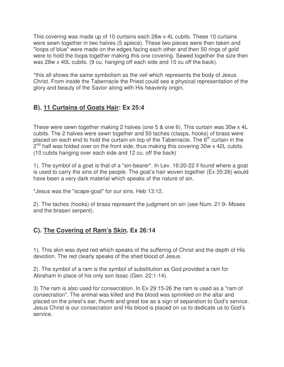This covering was made up of 10 curtains each 28w x 4L cubits. These 10 curtains were sewn together in two halves (5 apiece). These two pieces were then taken and "loops of blue" were made on the edges facing each other and then 50 rings of gold were to hold the loops together making this one covering. Sewed together the size then was 28w x 40L cubits. (9 cu. hanging off each side and 10 cu off the back).

\*this all shows the same symbolism as the veil which represents the body of Jesus Christ. From inside the Tabernacle the Priest could see a physical representation of the glory and beauty of the Savior along with His heavenly origin.

## **B). 11 Curtains of Goats Hair: Ex 25:4**

These were sewn together making 2 halves (one 5 & one 6). This curtain was 30w x 4L cubits. The 2 halves were sewn together and 50 taches (clasps, hooks) of brass were placed on each end to hold the curtain on top of the Tabernacle. The 6<sup>th</sup> curtain in the  $2^{nd}$  half was folded over on the front side, thus making this covering 30w x 42L cubits. (10 cubits hanging over each side and 12 cu. off the back)

1). The symbol of a goat is that of a "sin-bearer". In Lev. 16:20-22 if found where a goat is used to carry the sins of the people. The goat's hair woven together (Ex 35:26) would have been a very dark material which speaks of the nature of sin.

\*Jesus was the "scape-goat" for our sins. Heb 13:12.

2). The taches (hooks) of brass represent the judgment on sin (see Num. 21:9- Moses and the brasen serpent).

## **C). The Covering of Ram's Skin. Ex 26:14**

1). This skin was dyed red which speaks of the suffering of Christ and the depth of His devotion. The red clearly speaks of the shed blood of Jesus.

2). The symbol of a ram is the symbol of substitution as God provided a ram for Abraham in place of his only son Issac (Gen. 22:1-14).

3) The ram is also used for consecration. In Ex 29:15-26 the ram is used as a "ram of consecration". The animal was killed and the blood was sprinkled on the altar and placed on the priest's ear, thumb and great toe as a sign of separation to God's service. Jesus Christ is our consecration and His blood is placed on us to dedicate us to God's service.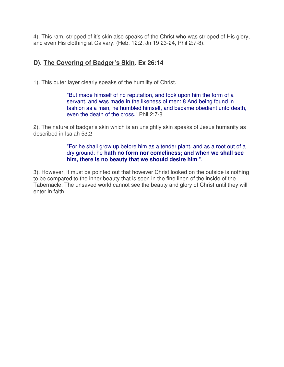4). This ram, stripped of it's skin also speaks of the Christ who was stripped of His glory, and even His clothing at Calvary. (Heb. 12:2, Jn 19:23-24, Phil 2:7-8).

## **D). The Covering of Badger's Skin. Ex 26:14**

1). This outer layer clearly speaks of the humility of Christ.

"But made himself of no reputation, and took upon him the form of a servant, and was made in the likeness of men: 8 And being found in fashion as a man, he humbled himself, and became obedient unto death, even the death of the cross." Phil 2:7-8

2). The nature of badger's skin which is an unsightly skin speaks of Jesus humanity as described in Isaiah 53:2

> "For he shall grow up before him as a tender plant, and as a root out of a dry ground: he **hath no form nor comeliness; and when we shall see him, there is no beauty that we should desire him**.".

3). However, it must be pointed out that however Christ looked on the outside is nothing to be compared to the inner beauty that is seen in the fine linen of the inside of the Tabernacle. The unsaved world cannot see the beauty and glory of Christ until they will enter in faith!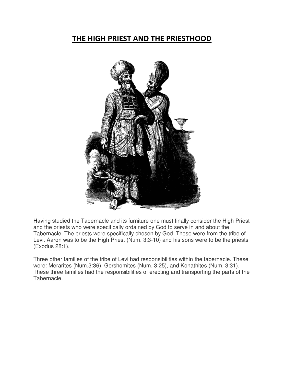## **THE HIGH PRIEST AND THE PRIESTHOOD**



Having studied the Tabernacle and its furniture one must finally consider the High Priest and the priests who were specifically ordained by God to serve in and about the Tabernacle. The priests were specifically chosen by God. These were from the tribe of Levi. Aaron was to be the High Priest (Num. 3:3-10) and his sons were to be the priests (Exodus 28:1).

Three other families of the tribe of Levi had responsibilities within the tabernacle. These were: Merarites (Num.3:36), Gershomites (Num. 3:25), and Kohathites (Num. 3:31). These three families had the responsibilities of erecting and transporting the parts of the Tabernacle.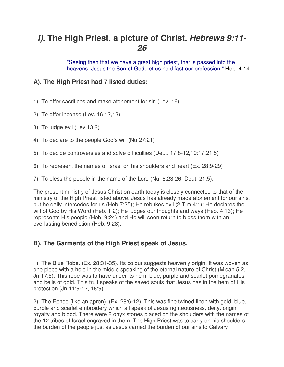# *I).* **The High Priest, a picture of Christ.** *Hebrews 9:11- 26*

"Seeing then that we have a great high priest, that is passed into the heavens, Jesus the Son of God, let us hold fast our profession." Heb. 4:14

## **A). The High Priest had 7 listed duties:**

- 1). To offer sacrifices and make atonement for sin (Lev. 16)
- 2). To offer incense (Lev. 16:12,13)
- 3). To judge evil (Lev 13:2)
- 4). To declare to the people God's will (Nu.27:21)
- 5). To decide controversies and solve difficulties (Deut. 17:8-12,19:17,21:5)
- 6). To represent the names of Israel on his shoulders and heart (Ex. 28:9-29)
- 7). To bless the people in the name of the Lord (Nu. 6:23-26, Deut. 21:5).

The present ministry of Jesus Christ on earth today is closely connected to that of the ministry of the High Priest listed above. Jesus has already made atonement for our sins, but he daily intercedes for us (Heb 7:25); He rebukes evil (2 Tim 4:1); He declares the will of God by His Word (Heb. 1:2); He judges our thoughts and ways (Heb. 4:13); He represents His people (Heb. 9:24) and He will soon return to bless them with an everlasting benediction (Heb. 9:28).

### **B). The Garments of the High Priest speak of Jesus.**

1). The Blue Robe. (Ex. 28:31-35). Its colour suggests heavenly origin. It was woven as one piece with a hole in the middle speaking of the eternal nature of Christ (Micah 5:2, Jn 17:5). This robe was to have under its hem, blue, purple and scarlet pomegranates and bells of gold. This fruit speaks of the saved souls that Jesus has in the hem of His protection (Jn 11:9-12, 18:9).

2). The Ephod (like an apron). (Ex. 28:6-12). This was fine twined linen with gold, blue, purple and scarlet embroidery which all speak of Jesus righteousness, deity, origin, royalty and blood. There were 2 onyx stones placed on the shoulders with the names of the 12 tribes of Israel engraved in them. The High Priest was to carry on his shoulders the burden of the people just as Jesus carried the burden of our sins to Calvary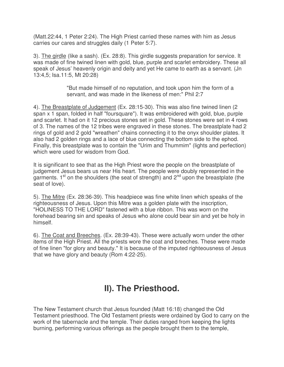(Matt.22:44, 1 Peter 2:24). The High Priest carried these names with him as Jesus carries our cares and struggles daily (1 Peter 5:7).

3). The girdle (like a sash). (Ex. 28:8). This girdle suggests preparation for service. It was made of fine twined linen with gold, blue, purple and scarlet embroidery. These all speak of Jesus' heavenly origin and deity and yet He came to earth as a servant. (Jn 13:4,5; Isa.11:5, Mt 20:28)

> "But made himself of no reputation, and took upon him the form of a servant, and was made in the likeness of men:" Phil 2:7

4). The Breastplate of Judgement (Ex. 28:15-30). This was also fine twined linen (2 span x 1 span, folded in half "foursquare"). It was embroidered with gold, blue, purple and scarlet. It had on it 12 precious stones set in gold. These stones were set in 4 rows of 3. The names of the 12 tribes were engraved in these stones. The breastplate had 2 rings of gold and 2 gold "wreathen" chains connecting it to the onyx shoulder plates. It also had 2 golden rings and a lace of blue connecting the bottom side to the ephod. Finally, this breastplate was to contain the "Urim and Thummim" (lights and perfection) which were used for wisdom from God.

It is significant to see that as the High Priest wore the people on the breastplate of judgement Jesus bears us near His heart. The people were doubly represented in the garments.  $1<sup>st</sup>$  on the shoulders (the seat of strength) and  $2<sup>nd</sup>$  upon the breastplate (the seat of love).

5). The Mitre (Ex. 28:36-39). This headpiece was fine white linen which speaks of the righteousness of Jesus. Upon this Mitre was a golden plate with the inscription, "HOLINESS TO THE LORD" fastened with a blue ribbon. This was worn on the forehead bearing sin and speaks of Jesus who alone could bear sin and yet be holy in himself.

6). The Coat and Breeches. (Ex. 28:39-43). These were actually worn under the other items of the High Priest. All the priests wore the coat and breeches. These were made of fine linen "for glory and beauty." It is because of the imputed righteousness of Jesus that we have glory and beauty (Rom 4:22-25).

# **II). The Priesthood.**

The New Testament church that Jesus founded (Matt 16:18) changed the Old Testament priesthood. The Old Testament priests were ordained by God to carry on the work of the tabernacle and the temple. Their duties ranged from keeping the lights burning, performing various offerings as the people brought them to the temple,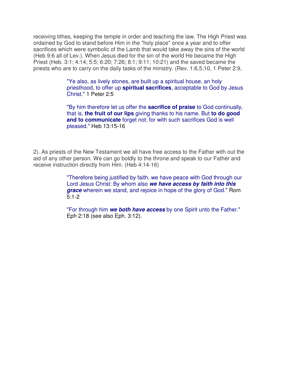receiving tithes, keeping the temple in order and teaching the law. The High Priest was ordained by God to stand before Him in the "holy place" once a year and to offer sacrifices which were symbolic of the Lamb that would take away the sins of the world (Heb 9:6 all of Lev.). When Jesus died for the sin of the world He became the High Priest (Heb. 3:1; 4:14; 5:5; 6:20; 7:26; 8:1; 9:11; 10:21) and the saved became the priests who are to carry on the daily tasks of the ministry. (Rev. 1:6,5;10, 1 Peter 2:9,

> "Ye also, as lively stones, are built up a spiritual house, an holy priesthood, to offer up **spiritual sacrifices**, acceptable to God by Jesus Christ." 1 Peter 2:5

> "By him therefore let us offer the **sacrifice of praise** to God continually, that is, **the fruit of our lips** giving thanks to his name. But **to do good and to communicate** forget not: for with such sacrifices God is well pleased." Heb 13:15-16

2). As priests of the New Testament we all have free access to the Father with out the aid of any other person. We can go boldly to the throne and speak to our Father and receive instruction directly from Him. (Heb 4:14-16)

> "Therefore being justified by faith, we have peace with God through our Lord Jesus Christ: By whom also *we have access by faith into this grace* wherein we stand, and rejoice in hope of the glory of God." Rom 5:1-2

> "For through him *we both have access* by one Spirit unto the Father." Eph 2:18 (see also Eph. 3:12).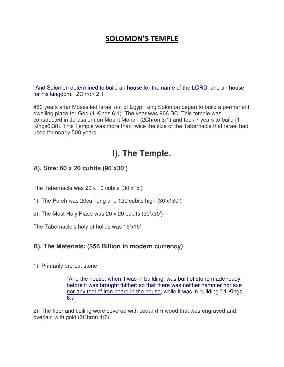## **SOLOMON'S TEMPLE**

"And Solomon determined to build an house for the name of the LORD, and an house for his kingdom." 2Chron 2:1

480 years after Moses led Israel out of Egypt King Solomon began to build a permanent dwelling place for God (1 Kings 6:1). The year was 966 BC. This temple was constructed in Jerusalem on Mount Moriah (2Chron 3:1) and took 7 years to build (1 Kings6:38). This Temple was more than twice the size of the Tabernacle that Israel had used for nearly 500 years.

# **I). The Temple.**

## **A). Size: 60 x 20 cubits (90'x30')**

The Tabernacle was 20 x 10 cubits (30'x15')

1). The Porch was 20cu. long and 120 cubits high (30'x180')

2). The Most Holy Place was 20 x 20 cubits (30'x30')

The Tabernacle's holy of holies was 15'x15'

### **B). The Materials: (\$56 Billion in modern currency)**

#### 1). Primarily pre-cut stone

"And the house, when it was in building, was built of stone made ready before it was brought thither: so that there was neither hammer nor axe nor any tool of iron heard in the house, while it was in building." 1 Kings  $6.7$ 

2). The floor and ceiling were covered with cedar (fir) wood that was engraved and overlain with gold (2Chron 4:7)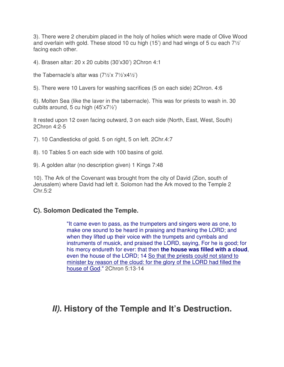3). There were 2 cherubim placed in the holy of holies which were made of Olive Wood and overlain with gold. These stood 10 cu high (15') and had wings of 5 cu each 7½' facing each other.

4). Brasen altar: 20 x 20 cubits (30'x30') 2Chron 4:1

the Tabernacle's altar was (7½'x 7½'x4½')

5). There were 10 Lavers for washing sacrifices (5 on each side) 2Chron. 4:6

6). Molten Sea (like the laver in the tabernacle). This was for priests to wash in. 30 cubits around, 5 cu high (45'x7½')

It rested upon 12 oxen facing outward, 3 on each side (North, East, West, South) 2Chron 4:2-5

- 7). 10 Candlesticks of gold. 5 on right, 5 on left. 2Chr.4:7
- 8). 10 Tables 5 on each side with 100 basins of gold.
- 9). A golden altar (no description given) 1 Kings 7:48

10). The Ark of the Covenant was brought from the city of David (Zion, south of Jerusalem) where David had left it. Solomon had the Ark moved to the Temple 2 Chr.5:2

### **C). Solomon Dedicated the Temple.**

"It came even to pass, as the trumpeters and singers were as one, to make one sound to be heard in praising and thanking the LORD; and when they lifted up their voice with the trumpets and cymbals and instruments of musick, and praised the LORD, saying, For he is good; for his mercy endureth for ever: that then **the house was filled with a cloud**, even the house of the LORD; 14 So that the priests could not stand to minister by reason of the cloud: for the glory of the LORD had filled the house of God." 2Chron 5:13-14

# *II).* **History of the Temple and It's Destruction.**